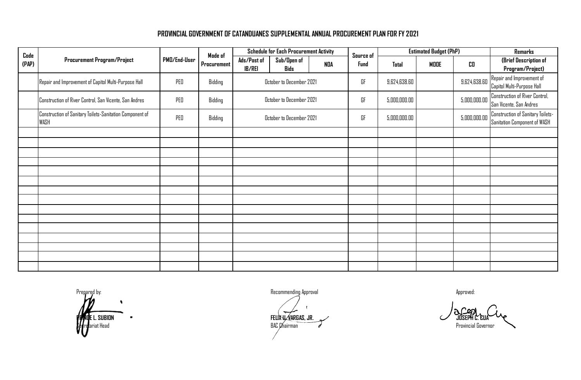## **PROVINCIAL GOVERNMENT OF CATANDUANES SUPPLEMENTAL ANNUAL PROCUREMENT PLAN FOR FY 2021**

| Code  | Procurement Program/Project                                      | PMD/End-User | Mode of<br>Procurement | <b>Schedule for Each Procurement Activity</b> |                            |            | Source of    | <b>Estimated Budget (PhP)</b> |              |                                                                   | Remarks                                   |
|-------|------------------------------------------------------------------|--------------|------------------------|-----------------------------------------------|----------------------------|------------|--------------|-------------------------------|--------------|-------------------------------------------------------------------|-------------------------------------------|
| (PAP) |                                                                  |              |                        | Ads/Post of<br><b>IB/REI</b>                  | Sub/Open of<br><b>Bids</b> | <b>NDA</b> | Fund         | <b>Total</b>                  | MODE         | CO                                                                | (Brief Description of<br>Program/Project) |
|       | Repair and Improvement of Capitol Multi-Purpose Hall             | PED          | Bidding                | October to December 2021                      |                            | GF         | 9,624,638.60 |                               | 9,624,638.60 | Repair and Improvement of<br>Capitol Multi-Purpose Hall           |                                           |
|       | Construction of River Control, San Vicente, San Andres           | PED          | Bidding                | October to December 2021                      |                            | GF         | 5,000,000.00 |                               | 5,000,000.00 | <b>Construction of River Control,</b><br>San Vicente, San Andres  |                                           |
|       | Construction of Sanitary Toilets-Sanitation Component of<br>WASH | PED          | Bidding                | October to December 2021                      |                            | GF         | 5,000,000.00 |                               | 5,000,000.00 | Construction of Sanitary Toilets-<br>Sanitation Component of WASH |                                           |
|       |                                                                  |              |                        |                                               |                            |            |              |                               |              |                                                                   |                                           |
|       |                                                                  |              |                        |                                               |                            |            |              |                               |              |                                                                   |                                           |
|       |                                                                  |              |                        |                                               |                            |            |              |                               |              |                                                                   |                                           |
|       |                                                                  |              |                        |                                               |                            |            |              |                               |              |                                                                   |                                           |
|       |                                                                  |              |                        |                                               |                            |            |              |                               |              |                                                                   |                                           |
|       |                                                                  |              |                        |                                               |                            |            |              |                               |              |                                                                   |                                           |
|       |                                                                  |              |                        |                                               |                            |            |              |                               |              |                                                                   |                                           |
|       |                                                                  |              |                        |                                               |                            |            |              |                               |              |                                                                   |                                           |
|       |                                                                  |              |                        |                                               |                            |            |              |                               |              |                                                                   |                                           |
|       |                                                                  |              |                        |                                               |                            |            |              |                               |              |                                                                   |                                           |
|       |                                                                  |              |                        |                                               |                            |            |              |                               |              |                                                                   |                                           |
|       |                                                                  |              |                        |                                               |                            |            |              |                               |              |                                                                   |                                           |
|       |                                                                  |              |                        |                                               |                            |            |              |                               |              |                                                                   |                                           |
|       |                                                                  |              |                        |                                               |                            |            |              |                               |              |                                                                   |                                           |

Prepared by: example a provide the commending Approval Recommending Approval Approved: Approved:

 **PRINCE L. SUBION FELIX U. VARGAS, JR. JOSEPH C. CUA**  $\beta$ eftariat Head Provincial Governor entropy of the secretary of the secretary of  $\sigma'$  . The secretary provincial Governor entropy of the secretary provincial Governor